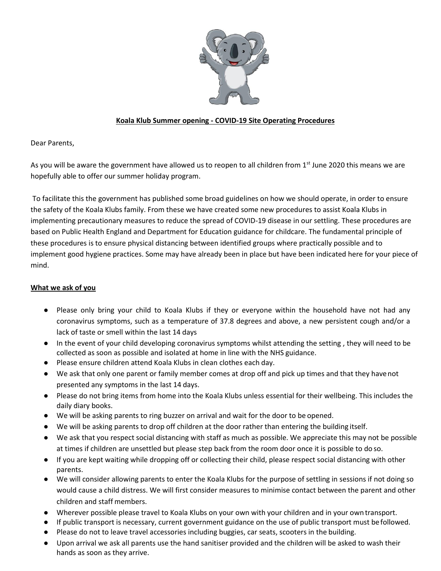

# **Koala Klub Summer opening - COVID-19 Site Operating Procedures**

Dear Parents,

As you will be aware the government have allowed us to reopen to all children from  $1<sup>st</sup>$  June 2020 this means we are hopefully able to offer our summer holiday program.

To facilitate this the government has published some broad guidelines on how we should operate, in order to ensure the safety of the Koala Klubs family. From these we have created some new procedures to assist Koala Klubs in implementing precautionary measures to reduce the spread of COVID-19 disease in our settling. These procedures are based on Public Health England and Department for Education guidance for childcare. The fundamental principle of these procedures is to ensure physical distancing between identified groups where practically possible and to implement good hygiene practices. Some may have already been in place but have been indicated here for your piece of mind.

#### **What we ask of you**

- Please only bring your child to Koala Klubs if they or everyone within the household have not had any coronavirus symptoms, such as a temperature of 37.8 degrees and above, a new persistent cough and/or a lack of taste or smell within the last 14 days
- In the event of your child developing coronavirus symptoms whilst attending the setting , they will need to be collected as soon as possible and isolated at home in line with the NHS guidance.
- Please ensure children attend Koala Klubs in clean clothes each day.
- We ask that only one parent or family member comes at drop off and pick up times and that they havenot presented any symptoms in the last 14 days.
- Please do not bring items from home into the Koala Klubs unless essential for their wellbeing. This includes the daily diary books.
- We will be asking parents to ring buzzer on arrival and wait for the door to be opened.
- We will be asking parents to drop off children at the door rather than entering the building itself.
- We ask that you respect social distancing with staff as much as possible. We appreciate this may not be possible at times if children are unsettled but please step back from the room door once it is possible to do so.
- If you are kept waiting while dropping off or collecting their child, please respect social distancing with other parents.
- We will consider allowing parents to enter the Koala Klubs for the purpose of settling in sessions if not doing so would cause a child distress. We will first consider measures to minimise contact between the parent and other children and staff members.
- Wherever possible please travel to Koala Klubs on your own with your children and in your own transport.
- If public transport is necessary, current government guidance on the use of public transport must be followed.
- Please do not to leave travel accessories including buggies, car seats, scooters in the building.
- Upon arrival we ask all parents use the hand sanitiser provided and the children will be asked to wash their hands as soon as they arrive.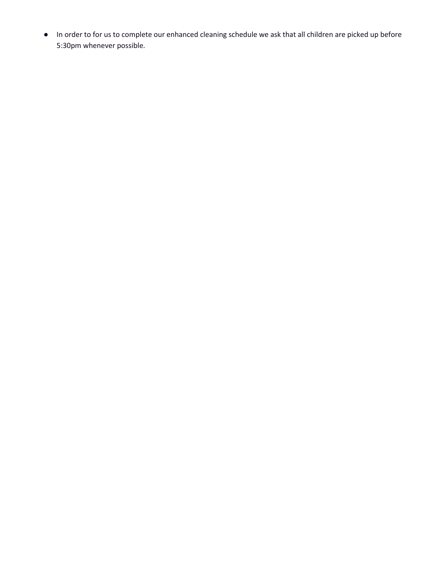● In order to for us to complete our enhanced cleaning schedule we ask that all children are picked up before 5:30pm whenever possible.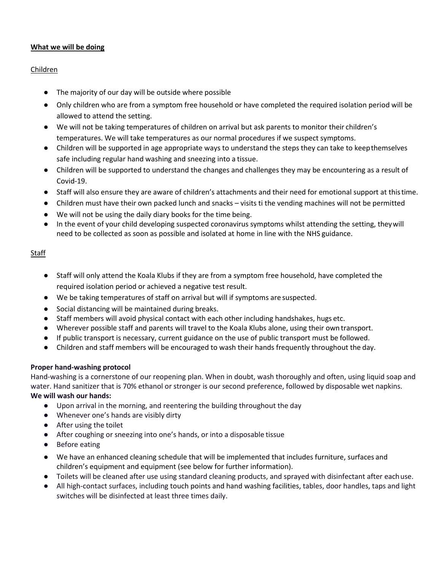# **What we will be doing**

# Children

- The majority of our day will be outside where possible
- Only children who are from a symptom free household or have completed the required isolation period will be allowed to attend the setting.
- We will not be taking temperatures of children on arrival but ask parents to monitor their children's temperatures. We will take temperatures as our normal procedures if we suspect symptoms.
- Children will be supported in age appropriate ways to understand the steps they can take to keepthemselves safe including regular hand washing and sneezing into a tissue.
- Children will be supported to understand the changes and challenges they may be encountering as a result of Covid-19.
- Staff will also ensure they are aware of children's attachments and their need for emotional support at thistime.
- Children must have their own packed lunch and snacks visits ti the vending machines will not be permitted
- We will not be using the daily diary books for the time being.
- In the event of your child developing suspected coronavirus symptoms whilst attending the setting, theywill need to be collected as soon as possible and isolated at home in line with the NHS guidance.

#### **Staff**

- Staff will only attend the Koala Klubs if they are from a symptom free household, have completed the required isolation period or achieved a negative test result.
- We be taking temperatures of staff on arrival but will if symptoms are suspected.
- Social distancing will be maintained during breaks.
- Staff members will avoid physical contact with each other including handshakes, hugs etc.
- Wherever possible staff and parents will travel to the Koala Klubs alone, using their own transport.
- If public transport is necessary, current guidance on the use of public transport must be followed.
- Children and staff members will be encouraged to wash their hands frequently throughout the day.

#### **Proper hand-washing protocol**

Hand-washing is a cornerstone of our reopening plan. When in doubt, wash thoroughly and often, using liquid soap and water. Hand sanitizer that is 70% ethanol or stronger is our second preference, followed by disposable wet napkins. **We will wash our hands:**

- Upon arrival in the morning, and reentering the building throughout the day
- Whenever one's hands are visibly dirty
- After using the toilet
- After coughing or sneezing into one's hands, or into a disposable tissue
- Before eating
- We have an enhanced cleaning schedule that will be implemented that includes furniture, surfaces and children's equipment and equipment (see below for further information).
- Toilets will be cleaned after use using standard cleaning products, and sprayed with disinfectant after eachuse.
- All high-contact surfaces, including touch points and hand washing facilities, tables, door handles, taps and light switches will be disinfected at least three times daily.